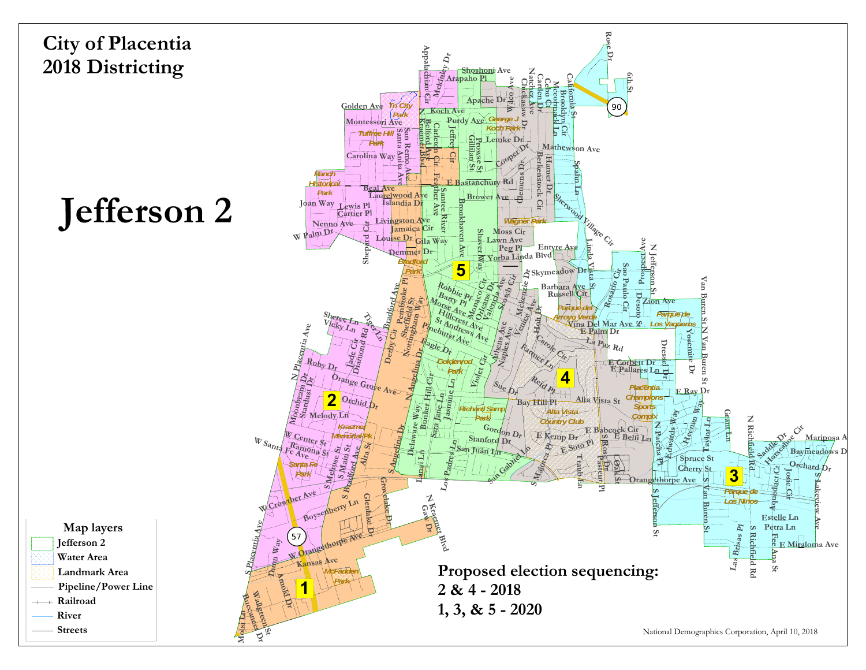